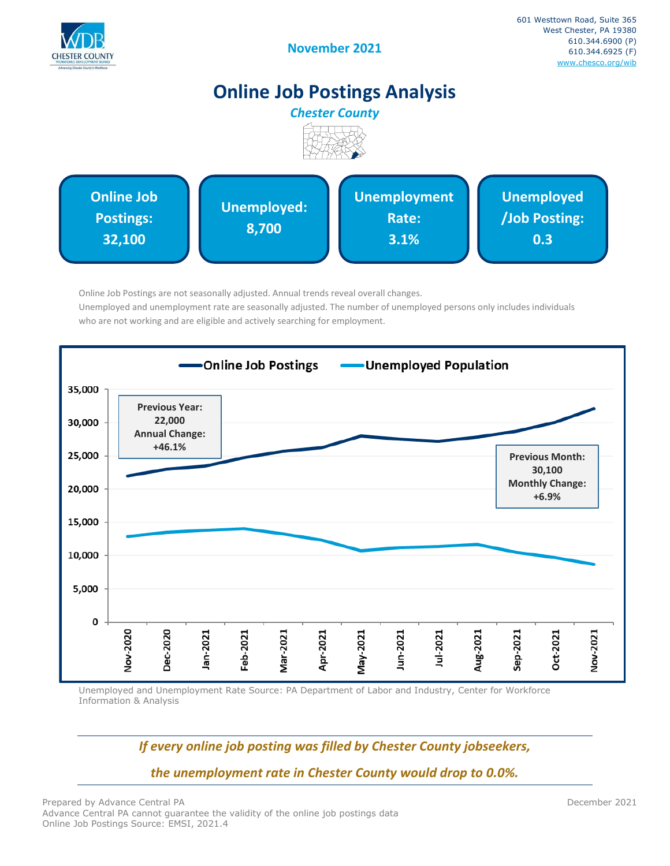

# **Online Job Postings Analysis**



Online Job Postings are not seasonally adjusted. Annual trends reveal overall changes. Unemployed and unemployment rate are seasonally adjusted. The number of unemployed persons only includes individuals who are not working and are eligible and actively searching for employment.



Unemployed and Unemployment Rate Source: PA Department of Labor and Industry, Center for Workforce Information & Analysis

# *If every online job posting was filled by Chester County jobseekers,*

*the unemployment rate in Chester County would drop to 0.0%.*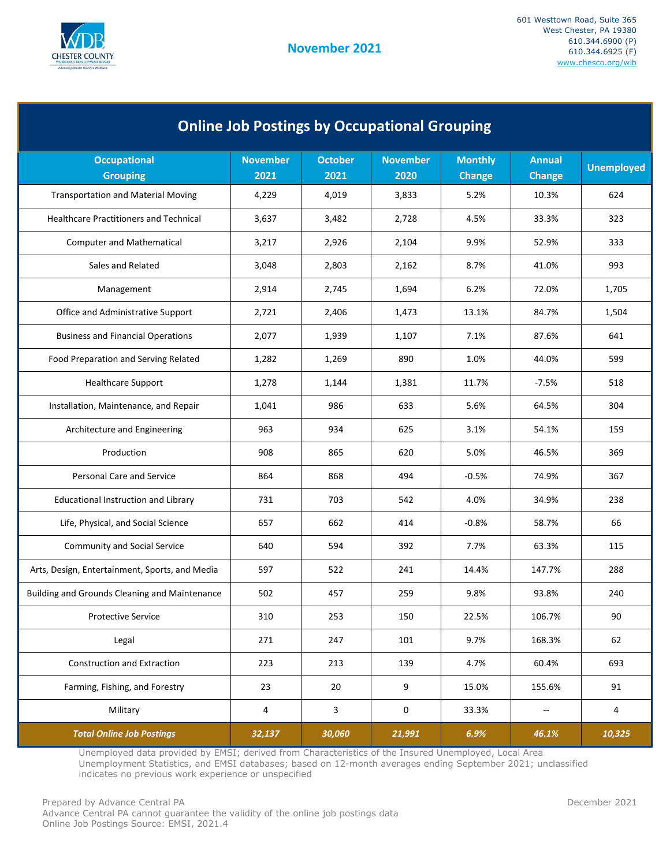

| <b>Online Job Postings by Occupational Grouping</b> |                         |                        |                         |                                 |                          |                   |  |
|-----------------------------------------------------|-------------------------|------------------------|-------------------------|---------------------------------|--------------------------|-------------------|--|
| <b>Occupational</b><br><b>Grouping</b>              | <b>November</b><br>2021 | <b>October</b><br>2021 | <b>November</b><br>2020 | <b>Monthly</b><br><b>Change</b> | <b>Annual</b><br>Change  | <b>Unemployed</b> |  |
| <b>Transportation and Material Moving</b>           | 4,229                   | 4,019                  | 3,833                   | 5.2%                            | 10.3%                    | 624               |  |
| <b>Healthcare Practitioners and Technical</b>       | 3,637                   | 3,482                  | 2,728                   | 4.5%                            | 33.3%                    | 323               |  |
| <b>Computer and Mathematical</b>                    | 3,217                   | 2,926                  | 2,104                   | 9.9%                            | 52.9%                    | 333               |  |
| Sales and Related                                   | 3,048                   | 2,803                  | 2,162                   | 8.7%                            | 41.0%                    | 993               |  |
| Management                                          | 2,914                   | 2,745                  | 1,694                   | 6.2%                            | 72.0%                    | 1,705             |  |
| Office and Administrative Support                   | 2,721                   | 2,406                  | 1,473                   | 13.1%                           | 84.7%                    | 1,504             |  |
| <b>Business and Financial Operations</b>            | 2,077                   | 1,939                  | 1,107                   | 7.1%                            | 87.6%                    | 641               |  |
| Food Preparation and Serving Related                | 1,282                   | 1,269                  | 890                     | 1.0%                            | 44.0%                    | 599               |  |
| <b>Healthcare Support</b>                           | 1,278                   | 1,144                  | 1,381                   | 11.7%                           | $-7.5%$                  | 518               |  |
| Installation, Maintenance, and Repair               | 1,041                   | 986                    | 633                     | 5.6%                            | 64.5%                    | 304               |  |
| Architecture and Engineering                        | 963                     | 934                    | 625                     | 3.1%                            | 54.1%                    | 159               |  |
| Production                                          | 908                     | 865                    | 620                     | 5.0%                            | 46.5%                    | 369               |  |
| <b>Personal Care and Service</b>                    | 864                     | 868                    | 494                     | $-0.5%$                         | 74.9%                    | 367               |  |
| <b>Educational Instruction and Library</b>          | 731                     | 703                    | 542                     | 4.0%                            | 34.9%                    | 238               |  |
| Life, Physical, and Social Science                  | 657                     | 662                    | 414                     | $-0.8%$                         | 58.7%                    | 66                |  |
| <b>Community and Social Service</b>                 | 640                     | 594                    | 392                     | 7.7%                            | 63.3%                    | 115               |  |
| Arts, Design, Entertainment, Sports, and Media      | 597                     | 522                    | 241                     | 14.4%                           | 147.7%                   | 288               |  |
| Building and Grounds Cleaning and Maintenance       | 502                     | 457                    | 259                     | 9.8%                            | 93.8%                    | 240               |  |
| <b>Protective Service</b>                           | 310                     | 253                    | 150                     | 22.5%                           | 106.7%                   | 90                |  |
| Legal                                               | 271                     | 247                    | 101                     | 9.7%                            | 168.3%                   | 62                |  |
| Construction and Extraction                         | 223                     | 213                    | 139                     | 4.7%                            | 60.4%                    | 693               |  |
| Farming, Fishing, and Forestry                      | 23                      | 20                     | 9                       | 15.0%                           | 155.6%                   | 91                |  |
| Military                                            | 4                       | 3                      | 0                       | 33.3%                           | $\overline{\phantom{a}}$ | 4                 |  |
| <b>Total Online Job Postings</b>                    | 32,137                  | 30,060                 | 21,991                  | 6.9%                            | 46.1%                    | 10,325            |  |

Unemployed data provided by EMSI; derived from Characteristics of the Insured Unemployed, Local Area Unemployment Statistics, and EMSI databases; based on 12-month averages ending September 2021; unclassified indicates no previous work experience or unspecified